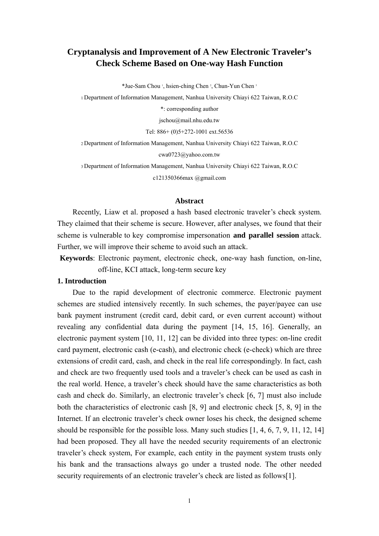# **Cryptanalysis and Improvement of A New Electronic Traveler's Check Scheme Based on One-way Hash Function**

\*Jue-Sam Chou <sup>1</sup>, hsien-ching Chen <sup>2</sup>, Chun-Yun Chen <sup>3</sup>

1 Department of Information Management, Nanhua University Chiayi 622 Taiwan, R.O.C

\*: corresponding author

jschou@mail.nhu.edu.tw

Tel: 886+ (0)5+272-1001 ext.56536

2 Department of Information Management, Nanhua University Chiayi 622 Taiwan, R.O.C

cwa0723@yahoo.com.tw

3 Department of Information Management, Nanhua University Chiayi 622 Taiwan, R.O.C

c121350366max @gmail.com

# **Abstract**

Recently, Liaw et al. proposed a hash based electronic traveler's check system. They claimed that their scheme is secure. However, after analyses, we found that their scheme is vulnerable to key compromise impersonation **and parallel session** attack. Further, we will improve their scheme to avoid such an attack.

**Keywords**: Electronic payment, electronic check, one-way hash function, on-line, off-line, KCI attack, long-term secure key

# **1. Introduction**

Due to the rapid development of electronic commerce. Electronic payment schemes are studied intensively recently. In such schemes, the payer/payee can use bank payment instrument (credit card, debit card, or even current account) without revealing any confidential data during the payment [14, 15, 16]. Generally, an electronic payment system [10, 11, 12] can be divided into three types: on-line credit card payment, electronic cash (e-cash), and electronic check (e-check) which are three extensions of credit card, cash, and check in the real life correspondingly. In fact, cash and check are two frequently used tools and a traveler's check can be used as cash in the real world. Hence, a traveler's check should have the same characteristics as both cash and check do. Similarly, an electronic traveler's check [6, 7] must also include both the characteristics of electronic cash [8, 9] and electronic check [5, 8, 9] in the Internet. If an electronic traveler's check owner loses his check, the designed scheme should be responsible for the possible loss. Many such studies [1, 4, 6, 7, 9, 11, 12, 14] had been proposed. They all have the needed security requirements of an electronic traveler's check system, For example, each entity in the payment system trusts only his bank and the transactions always go under a trusted node. The other needed security requirements of an electronic traveler's check are listed as follows[1].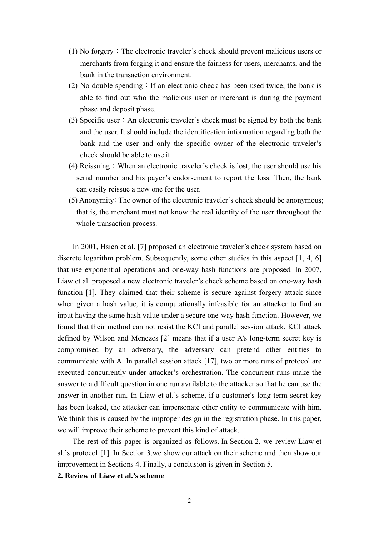- $(1)$  No forgery: The electronic traveler's check should prevent malicious users or merchants from forging it and ensure the fairness for users, merchants, and the bank in the transaction environment.
- (2) No double spending: If an electronic check has been used twice, the bank is able to find out who the malicious user or merchant is during the payment phase and deposit phase.
- (3) Specific user: An electronic traveler's check must be signed by both the bank and the user. It should include the identification information regarding both the bank and the user and only the specific owner of the electronic traveler's check should be able to use it.
- (4) Reissuing:When an electronic traveler's check is lost, the user should use his serial number and his payer's endorsement to report the loss. Then, the bank can easily reissue a new one for the user.
- (5) Anonymity:The owner of the electronic traveler's check should be anonymous; that is, the merchant must not know the real identity of the user throughout the whole transaction process.

In 2001, Hsien et al. [7] proposed an electronic traveler's check system based on discrete logarithm problem. Subsequently, some other studies in this aspect [1, 4, 6] that use exponential operations and one-way hash functions are proposed. In 2007, Liaw et al. proposed a new electronic traveler's check scheme based on one-way hash function [1]. They claimed that their scheme is secure against forgery attack since when given a hash value, it is computationally infeasible for an attacker to find an input having the same hash value under a secure one-way hash function. However, we found that their method can not resist the KCI and parallel session attack. KCI attack defined by Wilson and Menezes [2] means that if a user A's long-term secret key is compromised by an adversary, the adversary can pretend other entities to communicate with A. In parallel session attack [17], two or more runs of protocol are executed concurrently under attacker's orchestration. The concurrent runs make the answer to a difficult question in one run available to the attacker so that he can use the answer in another run. In Liaw et al.'s scheme, if a customer's long-term secret key has been leaked, the attacker can impersonate other entity to communicate with him. We think this is caused by the improper design in the registration phase. In this paper, we will improve their scheme to prevent this kind of attack.

The rest of this paper is organized as follows. In Section 2, we review Liaw et al.'s protocol [1]. In Section 3,we show our attack on their scheme and then show our improvement in Sections 4. Finally, a conclusion is given in Section 5.

**2. Review of Liaw et al.'s scheme**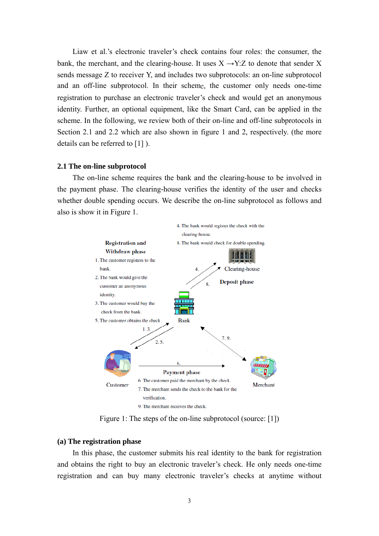Liaw et al.'s electronic traveler's check contains four roles: the consumer, the bank, the merchant, and the clearing-house. It uses  $X \rightarrow Y:Z$  to denote that sender X sends message Z to receiver Y, and includes two subprotocols: an on-line subprotocol and an off-line subprotocol. In their scheme, the customer only needs one-time registration to purchase an electronic traveler's check and would get an anonymous identity. Further, an optional equipment, like the Smart Card, can be applied in the scheme. In the following, we review both of their on-line and off-line subprotocols in Section 2.1 and 2.2 which are also shown in figure 1 and 2, respectively. (the more details can be referred to [1] ).

# **2.1 The on-line subprotocol**

 The on-line scheme requires the bank and the clearing-house to be involved in the payment phase. The clearing-house verifies the identity of the user and checks whether double spending occurs. We describe the on-line subprotocol as follows and also is show it in Figure 1.



Figure 1: The steps of the on-line subprotocol (source: [1])

#### **(a) The registration phase**

In this phase, the customer submits his real identity to the bank for registration and obtains the right to buy an electronic traveler's check. He only needs one-time registration and can buy many electronic traveler's checks at anytime without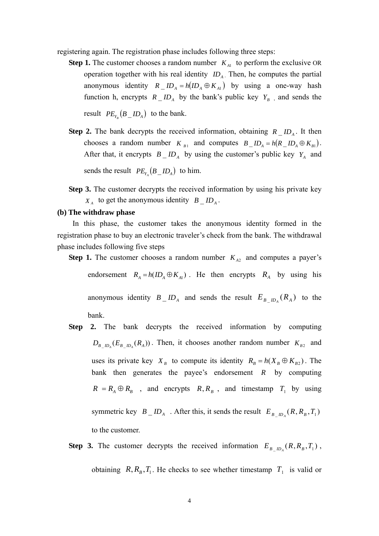registering again. The registration phase includes following three steps:

- **Step 1.** The customer chooses a random number  $K_{A1}$  to perform the exclusive OR operation together with his real identity  $ID_A$ . Then, he computes the partial anonymous identity  $R \_ID_A = h(ID_A \oplus K_{A1})$  by using a one-way hash function h, encrypts  $R \perp ID_A$  by the bank's public key  $Y_B$ , and sends the result  $PE_{Y_B}(B \_ID_A)$  to the bank.
- **Step 2.** The bank decrypts the received information, obtaining  $R \perp I D_A$ . It then chooses a random number  $K_{B1}$  and computes  $B \_ID_A = h(R \_ID_A \oplus K_{B1})$ . After that, it encrypts  $B \_ID_A$  by using the customer's public key  $Y_A$  and sends the result  $PE_{Y_A}(B \_ID_A)$  to him.
- **Step 3.** The customer decrypts the received information by using his private key  $X_A$  to get the anonymous identity  $B \perp ID_A$ .

# **(b) The withdraw phase**

In this phase, the customer takes the anonymous identity formed in the registration phase to buy an electronic traveler's check from the bank. The withdrawal phase includes following five steps

**Step 1.** The customer chooses a random number  $K_{A2}$  and computes a payer's

endorsement  $R_A = h(ID_A \oplus K_{A1})$ . He then encrypts  $R_A$  by using his

anonymous identity  $B \cap ID_A$  and sends the result  $E_{B \cap ID_A}(R_A)$  to the bank.

- **Step 2.** The bank decrypts the received information by computing  $D_{B-D_A}(E_{B-D_A}(R_A))$ . Then, it chooses another random number  $K_{B2}$  and uses its private key  $X_B$  to compute its identity  $R_B = h(X_B \oplus K_{B2})$ . The bank then generates the payee's endorsement  $R$  by computing  $R = R_A \oplus R_B$ , and encrypts  $R, R_B$ , and timestamp  $T_1$  by using symmetric key  $B \_ID_A$ . After this, it sends the result  $E_{B \_ID_A}(R, R_B, T_1)$ to the customer.
- **Step 3.** The customer decrypts the received information  $E_{B_\mu D_A}(R, R_B, T_1)$ , obtaining  $R, R_B, T_1$ . He checks to see whether timestamp  $T_1$  is valid or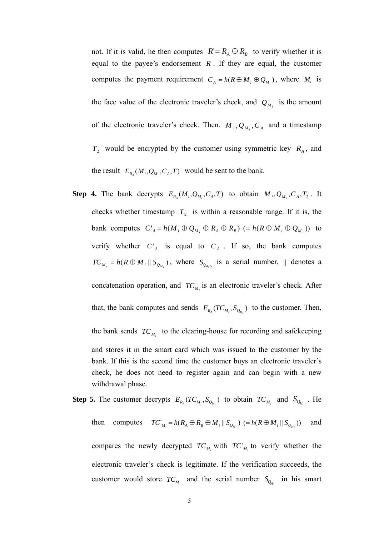not. If it is valid, he then computes  $R' = R_A \oplus R_B$  to verify whether it is equal to the payee's endorsement  $R$ . If they are equal, the customer computes the payment requirement  $C_A = h(R \oplus M_i \oplus Q_{M_i})$ , where  $M_i$  is the face value of the electronic traveler's check, and  $Q_{M_i}$  is the amount of the electronic traveler's check. Then,  $M_i, Q_{M_i}, C_A$  and a timestamp  $T_2$  would be encrypted by the customer using symmetric key  $R_A$ , and the result  $E_{R_A}(M_i, Q_{M_i}, C_A, T)$  would be sent to the bank.

- **Step 4.** The bank decrypts  $E_{R_A}(M_i, Q_{M_i}, C_A, T)$  to obtain  $M_i, Q_{M_i}, C_A, T_2$ . It checks whether timestamp  $T_2$  is within a reasonable range. If it is, the bank computes  $C_A^* = h(M_i \oplus Q_{M_i} \oplus R_A \oplus R_B) (= h(R \oplus M_i \oplus Q_{M_i}))$  to verify whether  $C_A^A$  is equal to  $C_A$ . If so, the bank computes  $TC_{M_i} = h(R \oplus M_i || S_{Q_{M_i}})$ , where  $S_{Q_{M_i}2}$  is a serial number,  $||$  denotes a concatenation operation, and  $TC_{M_i}$  is an electronic traveler's check. After that, the bank computes and sends  $E_{R_A}(TC_{M_i}, S_{Q_{M_i}})$  to the customer. Then, the bank sends  $TC_{M_i}$  to the clearing-house for recording and safekeeping check, he does not need to register again and can begin with a new and stores it in the smart card which was issued to the customer by the bank. If this is the second time the customer buys an electronic traveler's withdrawal phase.
- **Step 5.** The customer decrypts  $E_{R_A}(TC_{M_i}, S_{Q_{M_i}})$  to obtain  $TC_{M_i}$  and  $S_{Q_{M_i}}$ . He then computes  $TC'_{M_i} = h(R_A \oplus R_B \oplus M_i || S_{Q_M})$   $(= h(R \oplus M_i || S_{Q_M}))$  and compares the newly decrypted  $TC_{M_i}$  with  $TC_{M_i}$  to verify whether the electronic traveler's check is legitimate. If the verification succeeds, the customer would store  $TC_{M_i}$  and the serial number  $S_{Q_{M_i}}$  in his smart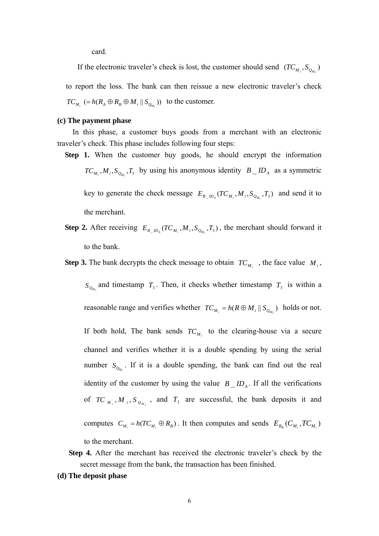card.

If the electronic traveler's check is lost, the customer should send  $(TC_{M_i}, S_{Q_{M_i}})$ to report the loss. The bank can then reissue a new electronic traveler's check  $TC_{M_i}$  (=  $h(R_A \oplus R_B \oplus M_i || S_{Q_{M_i}})$ ) to the customer.

#### **(c) The payment phase**

In this phase, a customer buys goods from a merchant with an electronic traveler's check. This phase includes following four steps:

- **Step 1.** When the customer buy goods, he should encrypt the information  $TC_{M_i}$ ,  $M_i$ ,  $S_{Q_{M_i}}$ ,  $T_3$  by using his anonymous identity  $B \_ID_A$  as a symmetric key to generate the check message  $E_{B_{\perp}D_A}(TC_{M_i}, M_i, S_{Q_{M_i}}, T_3)$  and send it to the merchant.
- **Step 2.** After receiving  $E_{B_ \_}D_A}(TC_{M_i}, M_i, S_{Q_{M_i}}, T_3)$ , the merchant should forward it to the bank.
- **Step 3.** The bank decrypts the check message to obtain  $TC_{M_i}$ , the face value  $M_i$ ,

 $S_{Q_{M_i}}$  and timestamp  $T_3$ . Then, it checks whether timestamp  $T_3$  is within a reasonable range and verifies whether  $TC_{M_i} = h(R \oplus M_i || S_{Q_{M_i}})$  holds or not. If both hold, The bank sends  $TC_{M_i}$  to the clearing-house via a secure channel and verifies whether it is a double spending by using the serial number  $S_{Q_{M_i}}$ . If it is a double spending, the bank can find out the real identity of the customer by using the value  $B \_ID_A$ . If all the verifications of *TC*<sub>*M<sub>i</sub>*</sub>, *M*<sub>*i*</sub>, *S*<sub>*Q<sub>M<sub>i</sub></sub>*, and *T*<sub>3</sub> are successful, the bank deposits it and</sub> computes  $C_{M_i} = h(TC_{M_i} \oplus R_B)$ . It then computes and sends  $E_{R_B}(C_{M_i},TC_{M_i})$ to the merchant.

- **Step 4.** After the merchant has received the electronic traveler's check by the secret message from the bank, the transaction has been finished.
- **(d) The deposit phase**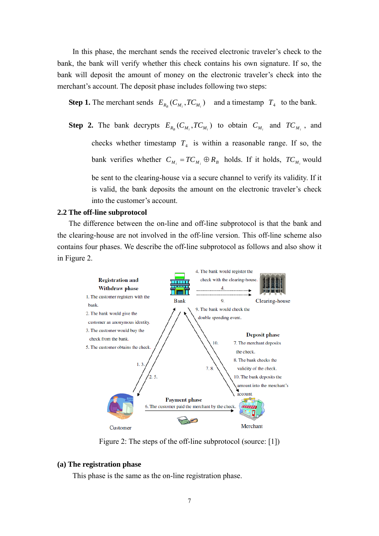In this phase, the merchant sends the received electronic traveler's check to the bank, the bank will verify whether this check contains his own signature. If so, the bank will deposit the amount of money on the electronic traveler's check into the merchant's account. The deposit phase includes following two steps:

**Step 1.** The merchant sends  $E_{R_B}(C_{M_i}, TC_{M_i})$  and a timestamp  $T_4$  to the bank.

bank verifies whether  $C_{M_i} = TC_{M_i} \oplus R_B$  holds. If it holds,  $TC_{M_i}$  would **Step 2.** The bank decrypts  $E_{R_B}(C_{M_i}, TC_{M_i})$  to obtain  $C_{M_i}$  and  $TC_{M_i}$ , and checks whether timestamp  $T_4$  is within a reasonable range. If so, the be sent to the clearing-house via a secure channel to verify its validity. If it is valid, the bank deposits the amount on the electronic traveler's check into the customer's account.

# **2.2 The off-line subprotocol**

The difference between the on-line and off-line subprotocol is that the bank and the clearing-house are not involved in the off-line version. This off-line scheme also contains four phases. We describe the off-line subprotocol as follows and also show it in Figure 2.



Figure 2: The steps of the off-line subprotocol (source: [1])

# **(a) The registration phase**

This phase is the same as the on-line registration phase.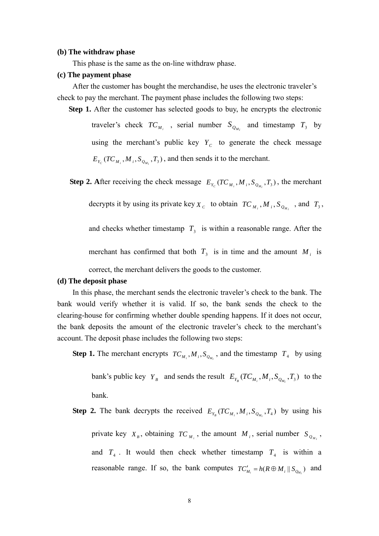#### **(b) The withdraw phase**

This phase is the same as the on-line withdraw phase.

#### **(c) The payment phase**

After the customer has bought the merchandise, he uses the electronic traveler's check to pay the merchant. The payment phase includes the following two steps:

**Step 1.** After the customer has selected goods to buy, he encrypts the electronic

traveler's check  $TC_{M_i}$ , serial number  $S_{Q_{M_i}}$  and timestamp  $T_3$  by using the merchant's public key  $Y_c$  to generate the check message  $E_{Y_C} (TC_{M_i}, M_i, S_{Q_{M_i}}, T_3)$ , and then sends it to the merchant.

**Step 2.** After receiving the check message  $E_{Y_c}(TC_{M_i}, M_i, S_{Q_{M_i}}, T_3)$ , the merchant

decrypts it by using its private key  $X_c$  to obtain  $TC_{M_i}$ ,  $M_i$ ,  $S_{Q_{M_i}}$ , and  $T_3$ ,

and checks whether timestamp  $T_3$  is within a reasonable range. After the

merchant has confirmed that both  $T_3$  is in time and the amount  $M_i$  is

correct, the merchant delivers the goods to the customer.

# **(d) The deposit phase**

clearing-house for confirming whether double spending happens. If it does not occur, the b ank deposits the amount of the electronic traveler's check to the merchant's account. The deposit phase includes the following two steps: In this phase, the merchant sends the electronic traveler's check to the bank. The bank would verify whether it is valid. If so, the bank sends the check to the

**Step 1.** The merchant encrypts  $TC_{M_i}$ ,  $M_i$ ,  $S_{Q_{M_i}}$ , and the timestamp  $T_4$  by using

bank's public key  $Y_B$  and sends the result  $E_{Y_B}(TC_{M_i}, M_i, S_{Q_{M_i}}, T_3)$  to the bank.

**Step 2.** The bank decrypts the received  $E_{Y_B}(TC_{M_i}, M_i, S_{Q_{M_i}}, T_4)$  by using his and  $T_4$ . It would then check whether timestamp  $T_4$  is within a private key  $X_B$ , obtaining  $TC_{M_i}$ , the amount  $M_i$ , serial number  $S_{Q_{M_i}}$ , reasonable range. If so, the bank computes  $TC'_{M_i} = h(R \oplus M_i || S_{Q_{M_i}})$  and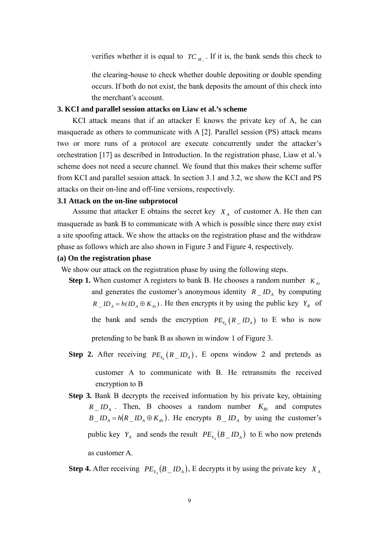verifies whether it is equal to  $TC_{M}$ . If it is, the bank sends this check to

the clearing-house to check whether double depositing or double spending occurs. If both do not exist, the bank deposits the amount of this check into the merchant's account.

## **3. KCI and parallel session attacks on Liaw et al.'s scheme**

scheme does not need a secure channel. We found that this makes their scheme suffer from KCI and parallel session attack. In section 3.1 and 3.2, we show the KCI and PS attacks on their on-line and off-line versions, respectively. KCI attack means that if an attacker E knows the private key of A, he can masquerade as others to communicate with A [2]. Parallel session (PS) attack means two or more runs of a protocol are execute concurrently under the attacker's orchestration [17] as described in Introduction. In the registration phase, Liaw et al.'s

# **3.1 Attack on the on-line subprotocol**

masquerade as bank B to communicate with A which is possible since there may exist a site spoofing attack. We show the attacks on the registration phase and the withdraw p hase as follows which are also shown in Figure 3 and Figure 4, respectively. Assume that attacker E obtains the secret key  $X_A$  of customer A. He then can

# **(a) On the registration phase**

We show our attack on the registration phase by using the following steps.

**Step 1.** When customer A registers to bank B. He chooses a random number  $K_{AB}$ and generates the customer's anonymous identity  $R \_ID_A$  by computing  $R \_ID_A = h(ID_A \oplus K_{A1})$ . He then encrypts it by using the public key  $Y_B$  of the bank and sends the encryption  $PE_{Y_B} (R \_ID_A)$  to E who is now pretending to be bank B as shown in window 1 of Figure 3.

**Step 2.** After receiving  $PE_{Y_B}(R \_ID_A)$ , E opens window 2 and pretends as encryp tion to B customer A to communicate with B. He retransmits the received

**Step 3.** Bank B decrypts the received information by his private key, obtaining  $R \sim ID_A$ . Then, B chooses a random number  $K_{B1}$  and computes  $B \_ID_A = h(R \_ID_A \oplus K_{B1})$ . He encrypts  $B \_ID_A$  by using the customer's public key  $Y_A$  and sends the result  $PE_{Y_A}(B \_ID_A)$  to E who now pretends as customer A.

**Step 4.** After receiving  $PE_{Y_A}(B \_ID_A)$ , E decrypts it by using the private key  $X_A$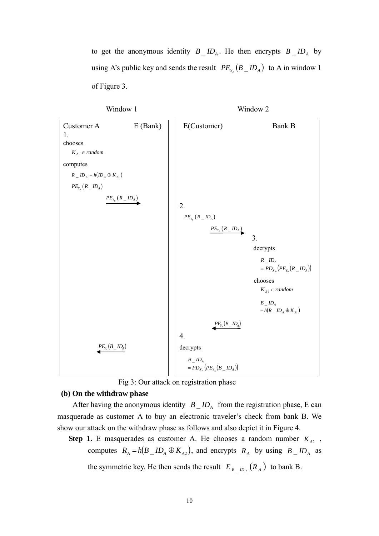to get the anonymous identity  $B \_ID_A$ . He then encrypts  $B \_ID_A$  by using A's public key and sends the result  $PE_{Y_A}(B \_ID_A)$  to A in window 1 of Figure 3.



Fig 3: Our attack on registration phase

# **(b) On the withdraw phase**

After having the anonymous identity  $B \_ID_A$  from the registration phase, E can masquerade as customer A to buy an electronic traveler's check from bank B. We show our attack on the withdraw phase as follows and also depict it in Figure 4.

**Step 1.** E masquerades as customer A. He chooses a random number  $K_{A2}$ , computes  $R_A = h(B \_ID_A \oplus K_{A2})$ , and encrypts  $R_A$  by using  $B \_ID_A$  as

the symmetric key. He then sends the result  $E_{B \_B_{\_B}(R_A)}$  to bank B.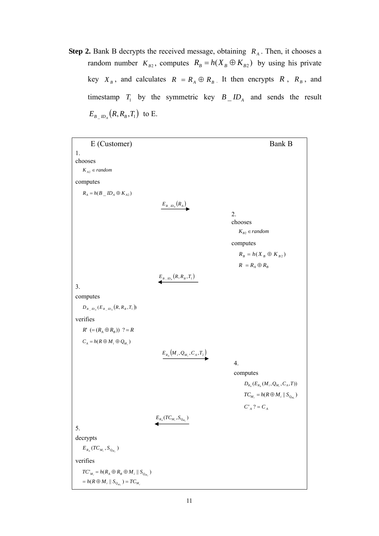**Step 2.** Bank B decrypts the received message, obtaining  $R_A$ . Then, it chooses a random number  $K_{B2}$ , computes  $R_B = h(X_B \oplus K_{B2})$  by using his private key  $X_B$ , and calculates  $R = R_A \oplus R_B$ . It then encrypts  $R$ ,  $R_B$ , and timestamp  $T_1$  by the symmetric key  $B_$   $ID_$  and sends the result  $E_{B \_ {ID_A}}(R, R_B, T_1)$  to E.

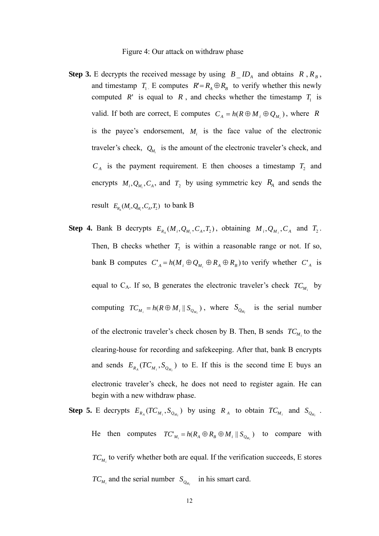#### Figure 4: Our attack on withdraw phase

- **Step 3.** E decrypts the received message by using  $B \_ID_A$  and obtains  $R \, R \, B_B$ , and timestamp  $T_1$ . E computes  $R' = R_A \oplus R_B$  to verify whether this newly computed *R*' is equal to *R*, and checks whether the timestamp  $T_1$  is valid. If both are correct, E computes  $C_A = h(R \oplus M_i \oplus Q_{M_i})$ , where *R* is the payee's endorsement,  $M_i$  is the face value of the electronic traveler's check,  $Q_{M_i}$  is the amount of the electronic traveler's check, and  $C_A$  is the payment requirement. E then chooses a timestamp  $T_2$  and encrypts  $M_i, Q_{M_i}, C_A$ , and  $T_2$  by using symmetric key  $R_A$  and sends the result  $E_{R_A}(M_i, Q_{M_i}, C_A, T_2)$  to bank B
- bank B computes  $C_A^A = h(M_i \oplus Q_{M_i} \oplus R_A \oplus R_B)$  to verify whether  $C_A^A$  is **Step 4.** Bank B decrypts  $E_{R_A}(M_i, Q_{M_i}, C_A, T_2)$ , obtaining  $M_i, Q_{M_i}, C_A$  and  $T_2$ . Then, B checks whether  $T_2$  is within a reasonable range or not. If so, equal to  $C_A$ . If so, B generates the electronic traveler's check  $TC_{M_i}$  by computing  $TC_{M_i} = h(R \oplus M_i || S_{Q_{M_i}})$ , where  $S_{Q_{M_i}}$  is the serial number of the electronic traveler's check chosen by B. Then, B sends  $TC_{M_i}$  to the clearing-house for recording and saf ekeeping. After that, bank B encrypts and sends  $E_{R_A}(TC_{M_i}, S_{Q_{M_i}})$  to E. If this is the second time E buys an begin with a new withdraw phase. electronic traveler's check, he does not need to register again. He can

**Step 5.** E decrypts  $E_{R_A} (TC_{M_i}, S_{Q_{M_i}})$  by using  $R_A$  to obtain  $TC_{M_i}$  and  $S_{Q_{M_i}}$ . He then computes  $TC_{M_i} = h(R_A \oplus R_B \oplus M_i \parallel S_{Q_{M_i}})$  to compare with  $TC_M$  to verify whether both are equal. If the verification succeeds, E stores  $TC_{M_i}$  and the serial number  $S_{O_{M_i}}$  in his smart card.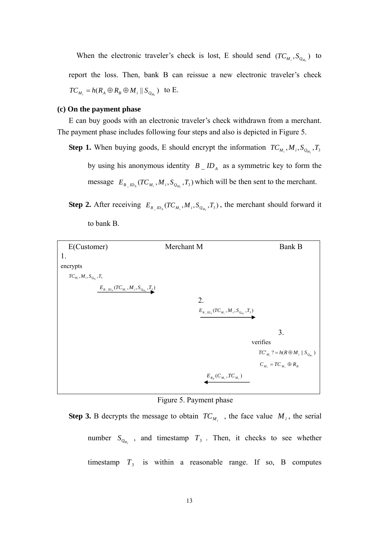When the electronic traveler's check is lost, E should send  $(TC_{M_i}, S_{Q_{M_i}})$  to report the loss. Then, bank B can reissue a new electronic traveler's check  $TC_{M_i} = h(R_A \oplus R_B \oplus M_i || S_{Q_{M_i}})$  to E.

## **(c) On the payment phase**

E can buy goods with an electronic traveler's check withdrawn from a merchant. The payment phase includes following four steps and also is depicted in Figure 5.

**Step 1.** When buying goods, E should encrypt the information  $TC_{M_i}$ ,  $M_i$ ,  $S_{Q_{M_i}}$ ,  $T_3$ by using his anonymous identity  $B \_ID_A$  as a symmetric key to form the message  $E_{B_{\perp}D_A}(TC_{M_i}, M_i, S_{Q_{M_i}}, T_3)$  which will be then sent to the merchant.

**Step 2.** After receiving  $E_{B_ \_ID_A}(TC_{M_i}, M_i, S_{Q_{M_i}}, T_3)$ , the merchant should forward it to bank B.



Figure 5. Payment phase

**Step 3.** B decrypts the message to obtain  $TC_{M_i}$ , the face value  $M_i$ , the serial number  $S_{Q_{M_i}}$ , and timestamp  $T_3$ . Then, it checks to see whether timestamp  $T_3$  is within a reasonable range. If so, B computes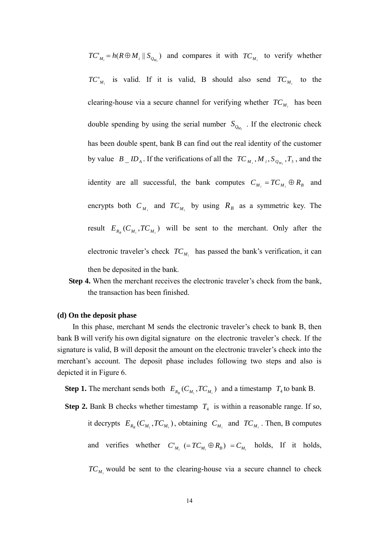$TC'_{M_i} = h(R \oplus M_i || S_{Q_M})$  and compares it with  $TC_{M_i}$  to verify whether  $TC_{M_i}$  is valid. If it is valid, B should also send  $TC_{M_i}$  to the clearing-house via a secure channel for verifying whether  $TC_{M_i}$  has been by value  $B \_ID_A$ . If the verifications of all the  $TC_{M_i}$ ,  $M_i$ ,  $S_{Q_{M_i}}$ ,  $T_3$ , and the identity are all successful, the bank computes  $C_{M_i} = TC_{M_i} \oplus R_B$  and double spending by using the serial number  $S_{Q_{M_i}}$ . If the electronic check has been double spent, bank B can find out the real identity of the customer encrypts both  $C_{M_i}$  and  $TC_{M_i}$  by using  $R_B$  as a symmetric key. The result  $E_{R_B}(C_{M_i}, TC_{M_i})$  will be sent to the merchant. Only after the electronic traveler's check  $TC_{M_i}$  has passed the bank's verification, it can then be deposited in the bank.

**Step 4.** When the merchant receives the electronic traveler's check from the bank, the transaction has been finished.

#### **(d) On the deposit phase**

In this phase, merchant M sends the electronic traveler's check to bank B, then bank B will verify his own digital signature on the electronic traveler's check. If the signature is valid, B will deposit the amount on the electronic traveler's check into the m erchant's account. The deposit phase includes following two steps and also is depicted it in Figure 6.

**Step 1.** The merchant sends both  $E_{R_B}(C_{M_i}, TC_{M_i})$  and a timestamp  $T_4$  to bank B.

**Step 2.** Bank B checks whether timestamp  $T_4$  is within a reasonable range. If so, it decrypts  $E_{R_B}(C_{M_i}, TC_{M_i})$ , obtaining  $C_{M_i}$  and  $TC_{M_i}$ . Then, B computes and verifies whether  $C'_{M_i} (= TC_{M_i} \oplus R_B) = C_{M_i}$  holds, If it holds,

 $TC_{M_i}$  would be sent to the clearing-house via a secure channel to check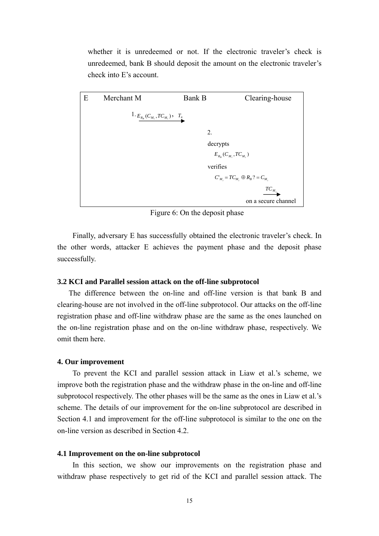whether it is unredeemed or not. If the electronic traveler's check is unredeemed, bank B should deposit the amount on the electronic traveler's check into E's account.



Figure 6: On the deposit phase

Finally, adversary E has successfully obtained the electronic traveler's check. In the other words, attacker E achieves the payment phase and the deposit phase successfully.

# **3.2 KCI and Parallel session attack on the off-line subprotocol**

The difference between the on-line and off-line version is that bank B and clearing-house are not involved in the off-line subprotocol. Our attacks on the off-line registration phase and off-line withdraw phase are the same as the ones launched on the o n-line registration phase and on the on-line withdraw phase, respectively. We omit them here.

## **4. Our improvement**

improve both the registration phase and the withdraw phase in the on-line and off-line subprotocol respectively. The other phases will be the same as the ones in Liaw et al.'s scheme. The details of our improvement for the on-line subprotocol are described in Secti on 4.1 and improvement for the off-line subprotocol is similar to the one on the To prevent the KCI and parallel session attack in Liaw et al.'s scheme, we on-line version as described in Section 4.2.

# **4.1 Improvement on the on-line subprotocol**

In this section, we show our improvements on the registration phase and withdraw phase respectively to get rid of the KCI and parallel session attack. The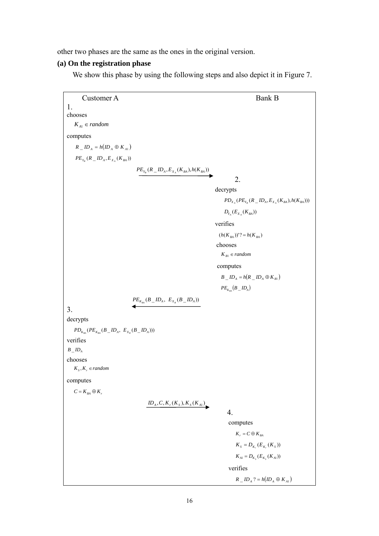other tw o phases are the same as the ones in the original version.

# **(a) On the registration phase**

We show this phase by using the following steps and also depict it in Figure 7.

```
Customer A Bank B
1. 
chooses 
computes 
    K_{A1} \in randomR_{-}ID_{A} = h(ID_{A} \oplus K_{A1})PE_{Y_B}(R\_ID_A, E_{X_A}(K_{BA}))PE_{Y_B}(R\_ID_A, E_{X_A}(K_{BA}), h(K_{BA}))decrypts 
                                                                                   PD_{X_A}(PE_{Y_B}(R\_ID_A, E_{X_A}(K_{BA}), h(K_{BA})))(h(K_{BA}))'? = h(K_{BA})2. 
                                                                                  D_{Y_{A}}(E_{X_{A}}(K_{BA}))verifies 
                                                                              chooses 
                                                                                K_{B1} \in randomcomputes 
                                                                                B \_ {ID_A} = h(R \_ {ID_A} \oplus K_{B1})PE_{K_{RA}}( B \_ID_A)PE_{K_{BA}}(B \_ID_A, E_{X_B}(B \_ID_A))3. 
decrypts 
    PD_{K_{BA}}(PE_{K_{BA}}(B\_ID_A, E_{X_B}(B\_ID_A)))verifies 
chooses 
computes 
                                           ID_A, C, K_r(K_s), K_s(K_{A_1})4. 
                                                                                     computes
B ID<sub>A</sub>
   K_s, K_s \in randomC = K_{BA} \oplus K_rK_r = C \oplus K_{BA}K_{S} = D_{K_{s}}(E_{K_{s}}(K_{S}))K_{A1} = D_{K_{s}}(E_{K_{s}}(K_{A1}))verifies 
                                                                                        R_{-}ID_{A} ? = h (ID_{A} \oplus K_{A1})
```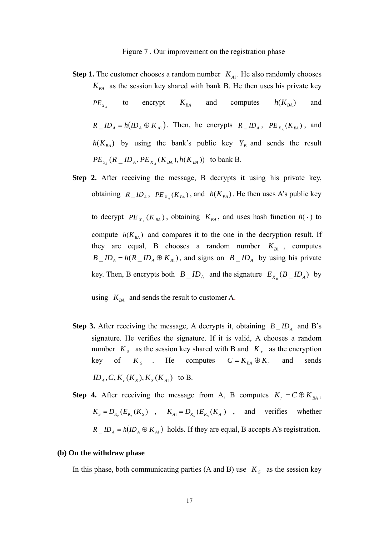## Figure 7. Our improvement on the registration phase

**Step 1.** The customer chooses a random number  $K_{A1}$ . He also randomly chooses  $K_{BA}$  as the session key shared with bank B. He then uses his private key  $PE_x$  to encrypt  $K_{BA}$  and computes  $h(K_{BA})$  and  $R\_ID_A = h(ID_A \oplus K_{A1})$ . Then, he encrypts  $R\_ID_A$ ,  $PE_{X_A}(K_{BA})$ , and  $h(K_{BA})$  by using the bank's public key  $Y_B$  and sends the result  $PE_{Y_B} (R \_ {ID_A}, PE_{X_A} (K_{BA}), h(K_{BA}))$  to bank B.  $h(K_{_{RA}})$ 

**Step 2.** After receiving the message, B decrypts it using his private key, to decrypt  $PE_{X_A}(K_{BA})$ , obtaining  $K_{BA}$ , and uses hash function  $h(\cdot)$  to compute  $h(K_{BA})$  and compares it to the one in the decryption result. If they are equal, B chooses a random number  $K_{B1}$ , computes obtaining  $R_L/D_A$ ,  $PE_{X_A}(K_{BA})$ , and  $h(K_{BA})$ . He then uses A's public key  $B_{\perp}ID_A = h(R \perp ID_A \oplus K_{B1})$ , and signs on  $B \perp ID_A$  by using his private key. Then, B encrypts both  $B \_ID_A$  and the signature  $E_{X_B}(B \_ID_A)$  by

using  $K_{BA}$  and sends the result to customer A.

- **Step 3.** After receiving the message, A decrypts it, obtaining  $B \_ID_A$  and B's signature. He verifies the signature. If it is valid, A chooses a random number  $K_s$  as the session key shared with B and  $K_r$  as the encryption key of  $K_s$  . He computes  $C = K_{BA} \oplus K_r$  and sends  $ID_{4}$ ,  $C$ ,  $K_{r}(K_{s})$ ,  $K_{s}(K_{41})$  to B.
- **Step 4.** After receiving the message from A, B computes  $K_r = C \oplus K_{BA}$ ,  $K_s = D_{K_s}(E_{K_s}(K_s))$ ,  $K_{A1} = D_{K_s}(E_{K_s}(K_{A1}))$ , and verifies whether  $R \_ {ID_A} = h (ID_A \oplus K_{A1})$  holds. If they are equal, B accepts A's registration.

# **(b) On the withdraw phase**

In this phase, both communicating parties (A and B) use  $K<sub>s</sub>$  as the session key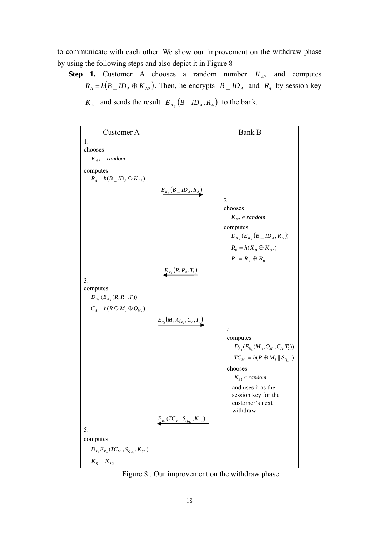to communicate with each other. We show our improvement on the withdraw phase by using the following steps and also depict it in Figure 8

**Step 1.** Customer A chooses a random number  $K_{A2}$  and computes  $R_A = h(B \_ID_A \oplus K_{A2})$ . Then, he encrypts  $B \_ID_A$  and  $R_A$  by session key  $K_{s}$  and sends the result  $E_{K_{s}}(B \_ID_{A}, R_{A})$  to the bank.

| Customer A                                        |                                                | <b>Bank B</b>                                 |
|---------------------------------------------------|------------------------------------------------|-----------------------------------------------|
| 1.                                                |                                                |                                               |
| chooses                                           |                                                |                                               |
| $K_{A2} \in random$                               |                                                |                                               |
| computes<br>$R_A = h(B \_ID_A \oplus K_{A2})$     |                                                |                                               |
|                                                   | $\underline{E_{K_S}\left(B\_ID_A, R_A\right)}$ |                                               |
|                                                   |                                                | 2.                                            |
|                                                   |                                                | chooses                                       |
|                                                   |                                                | $K_{B2} \in random$                           |
|                                                   |                                                | computes                                      |
|                                                   |                                                | $D_{K_s}(E_{K_s}(B_{-}ID_{A}, R_{A}))$        |
|                                                   |                                                | $R_B = h(X_B \oplus K_{B2})$                  |
|                                                   |                                                | $R = R_A \oplus R_B$                          |
|                                                   | $E_{K_s}(R, R_B, T_1)$                         |                                               |
| 3.                                                |                                                |                                               |
| computes<br>$D_{K_s}(E_{K_s}(R, R_B, T))$         |                                                |                                               |
| $C_A = h(R \oplus M_i \oplus Q_{M_i})$            |                                                |                                               |
|                                                   | $E_{R_A}(M_i, Q_{M_i}, C_A, T_2)$              |                                               |
|                                                   |                                                | 4.                                            |
|                                                   |                                                | computes                                      |
|                                                   |                                                | $D_{R_A}(E_{R_A}(M_{ii}, Q_{M_i}, C_A, T_2))$ |
|                                                   |                                                | $TC_{M_i} = h(R \oplus M_i    S_{Q_{M_i}})$   |
|                                                   |                                                | chooses                                       |
|                                                   |                                                | $K_{s2} \in random$                           |
|                                                   |                                                | and uses it as the                            |
|                                                   |                                                | session key for the<br>customer's next        |
|                                                   |                                                | withdraw                                      |
|                                                   | $E_{R_A}(TC_{M_i}, S_{Q_{M_i}}, K_{S2})$       |                                               |
| 5.                                                |                                                |                                               |
| computes                                          |                                                |                                               |
| $D_{R_A} E_{R_A} (TC_{M_i}, S_{Q_{M_i}}, K_{S2})$ |                                                |                                               |
| $K_s = K_{s2}$                                    |                                                |                                               |

Figure 8 . Our improvement on the withdraw phase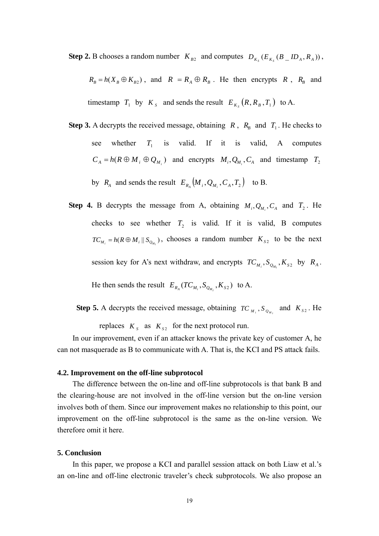**Step 2.** B chooses a random number  $K_{B2}$  and computes  $D_{K_s}(E_{K_s}(B \_ID_A, R_A))$ ,

 $R_B = h(X_B \oplus K_{B2})$ , and  $R = R_A \oplus R_B$ . He then encrypts R,  $R_B$  and timestamp  $T_1$  by  $K_s$  and sends the result  $E_{K_s}(R, R_B, T_1)$  to A.

- **Step 3.** A decrypts the received message, obtaining *R*,  $R_B$  and  $T_1$ . He checks to see whether  $T_1$  is valid. If it is valid, A computes  $C_A = h(R \oplus M_i \oplus Q_{M_i})$  and encrypts  $M_i, Q_{M_i}, C_A$  and timestamp  $T_2$ by  $R_A$  and sends the result  $E_{R_A}(M_i, Q_{M_i}, C_A, T_2)$  to B.
- **Step 4.** B decrypts the message from A, obtaining  $M_i, Q_{M_i}, C_A$  and  $T_2$ . He checks to see whether  $T_2$  is valid. If it is valid, B computes  $TC_{M_i} = h(R \oplus M_i || S_{Q_{M_i}})$ , chooses a random number  $K_{s2}$  to be the next

session key for A's next withdraw, and encrypts  $TC_{M_i}$ ,  $S_{Q_{M_i}}$ ,  $K_{S2}$  by  $R_A$ .

He then sends the result  $E_{R_A}(TC_{M_i}, S_{Q_{M_i}}, K_{S2})$  to A.

**Step 5.** A decrypts the received message, obtaining  $TC_{M_i}$ ,  $S_{O_{M_i}}$  and  $K_{S2}$ . He

replaces  $K_s$  as  $K_{s2}$  for the next protocol run.

In our improvement, even if an attacker knows the private key of customer A, he can not masquerade as B to communicate with A. That is, the KCI and PS attack fails.

## **4.2. Improvement on the off-line subprotocol**

the clearing-house are not involved in the off-line version but the on-line version involves both of them. Since our improvement makes no relationship to this point, our improvement on the off-line subprotocol is the same as the on-line version. We The difference between the on-line and off-line subprotocols is that bank B and therefore omit it here.

## **5. Co nclusion**

an on -line and off-line electronic traveler's check subprotocols. We also propose an In this paper, we propose a KCI and parallel session attack on both Liaw et al.'s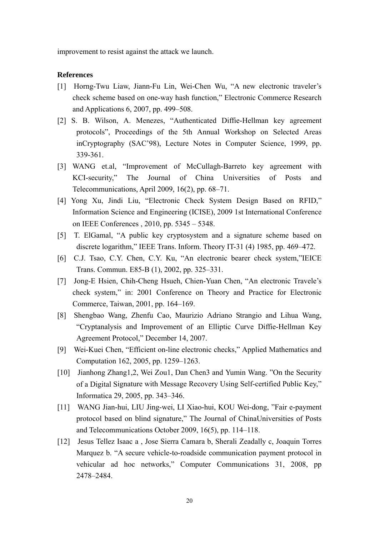impro vement to resist against the attack we launch.

# **References**

- [1] Horng-Twu Liaw, Jiann-Fu Lin, Wei-Chen Wu, "A new electronic traveler's check scheme based on one-way hash function," Electronic Commerce Research and Applications 6, 2007, pp. 499–508.
- [2] S. B. Wilson, A. Menezes, "Authenticated Diffie-Hellman key agreement protocols", Proceedings of the 5th Annual Workshop on Selected Areas inCryptography (SAC'98), Lecture Notes in Computer Science, 1999, pp. 339-361.
- KCI-security," The Journal of China Universities of Posts and [3] WANG et.al, "Improvement of McCullagh-Barreto key agreement with Telecommunications, April 2009, 16(2), pp. 68–71.
- [4] Yong Xu, Jindi Liu, "Electronic Check System Design Based on RFID," Information Science and Engineering (ICISE), 2009 1st International Conference on IEEE Conferences , 2010, pp. 5345 – 5348.
- [5] T . ElGamal, "A public key cryptosystem and a signature scheme based on discrete logarithm," IEEE Trans. Inform. Theory IT-31 (4) 1985, pp. 469–472.
- Trans. Commun. E85-B (1), 2002, pp. 325–331. [6] C.J. Tsao, C.Y. Chen, C.Y. Ku, "An electronic bearer check system,"IEICE
- c heck system," in: 2001 Conference on Theory and Practice for Electronic Commerce, Taiwan, 2001, pp. 164–169. [7] Jong-E Hsien, Chih-Cheng Hsueh, Chien-Yuan Chen, "An electronic Travele's
- [8] Shengbao Wang, Zhenfu Cao, Maurizio Adriano Strangio and Lihua Wang, "Cryptanalysis and Improvement of an Elliptic Curve Diffie-Hellman Key Agreement Protocol," December 14, 2007.
- [9] Wei-Kuei Chen, "Efficient on-line electronic checks," Applied Mathematics and Computation 162, 2005, pp. 1259–1263.
- [10] Jianhong Zhang1,2, Wei Zou1, Dan Chen3 and Yumin Wang. "On the Security of a Digital Signature with Message Recovery Using Self-certified Public Key," Informatica 29, 2005, pp. 343–346.
- [11] WANG Jian-hui, LIU Jing-wei, LI Xiao-hui, KOU Wei-dong, "Fair e-payment protocol based on blind signature," The Journal of ChinaUniversities of Posts and Telecommunications October 2009, 16(5), pp. 114–118.
- [12] Jesus Tellez Isaac a , Jose Sierra Camara b, Sherali Zeadally c, Joaquin Torres Marquez b. "A secure vehicle-to-roadside communication payment protocol in vehicular ad hoc networks," Computer Communications 31, 2008, pp 2478–2484.